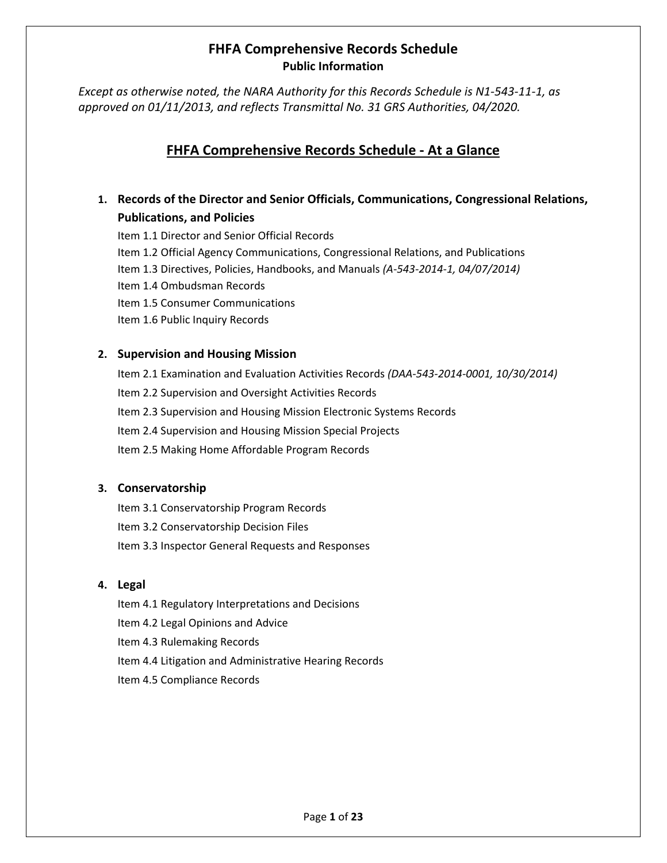*Except as otherwise noted, the NARA Authority for this Records Schedule is N1-543-11-1, as approved on 01/11/2013, and reflects Transmittal No. 31 GRS Authorities, 04/2020.* 

## **FHFA Comprehensive Records Schedule - At a Glance**

**1. Records of the Director and Senior Officials, Communications, Congressional Relations, Publications, and Policies**

Item 1.1 Director and Senior Official Records Item 1.2 Official Agency Communications, Congressional Relations, and Publications Item 1.3 Directives, Policies, Handbooks, and Manuals *(A-543-2014-1, 04/07/2014)* Item 1.4 Ombudsman Records Item 1.5 Consumer Communications Item 1.6 Public Inquiry Records

### **2. Supervision and Housing Mission**

Item 2.1 Examination and Evaluation Activities Records *(DAA-543-2014-0001, 10/30/2014)* Item 2.2 Supervision and Oversight Activities Records Item 2.3 Supervision and Housing Mission Electronic Systems Records Item 2.4 Supervision and Housing Mission Special Projects Item 2.5 Making Home Affordable Program Records

### **3. Conservatorship**

Item 3.1 Conservatorship Program Records Item 3.2 Conservatorship Decision Files Item 3.3 Inspector General Requests and Responses

### **4. Legal**

Item 4.1 Regulatory Interpretations and Decisions Item 4.2 Legal Opinions and Advice Item 4.3 Rulemaking Records Item 4.4 Litigation and Administrative Hearing Records

Item 4.5 Compliance Records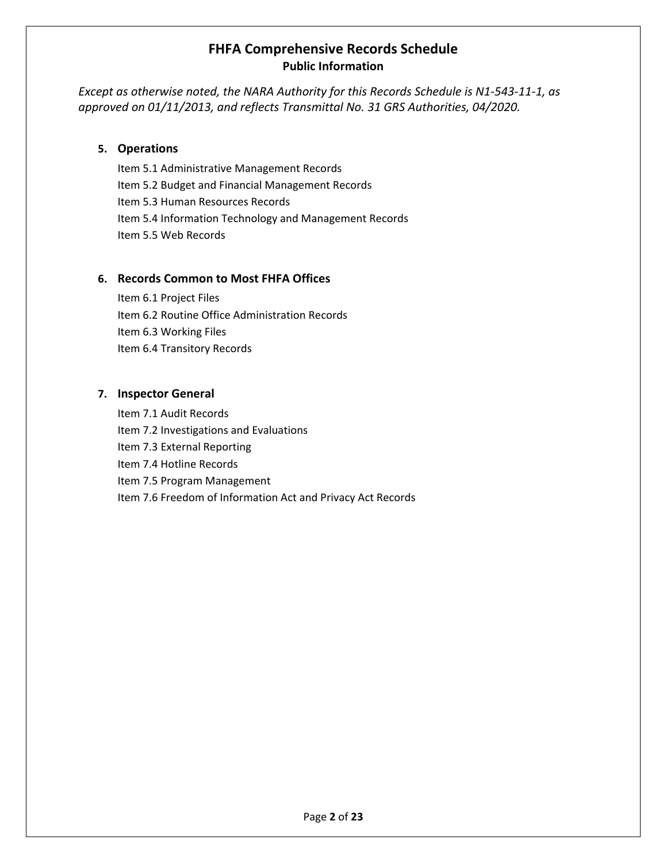*Except as otherwise noted, the NARA Authority for this Records Schedule is N1-543-11-1, as approved on 01/11/2013, and reflects Transmittal No. 31 GRS Authorities, 04/2020.* 

#### **5. Operations**

Item 5.1 Administrative Management Records Item 5.2 Budget and Financial Management Records Item 5.3 Human Resources Records Item 5.4 Information Technology and Management Records Item 5.5 Web Records

#### **6. Records Common to Most FHFA Offices**

Item 6.1 Project Files Item 6.2 Routine Office Administration Records Item 6.3 Working Files Item 6.4 Transitory Records

#### **7. Inspector General**

Item 7.1 Audit Records Item 7.2 Investigations and Evaluations Item 7.3 External Reporting Item 7.4 Hotline Records Item 7.5 Program Management Item 7.6 Freedom of Information Act and Privacy Act Records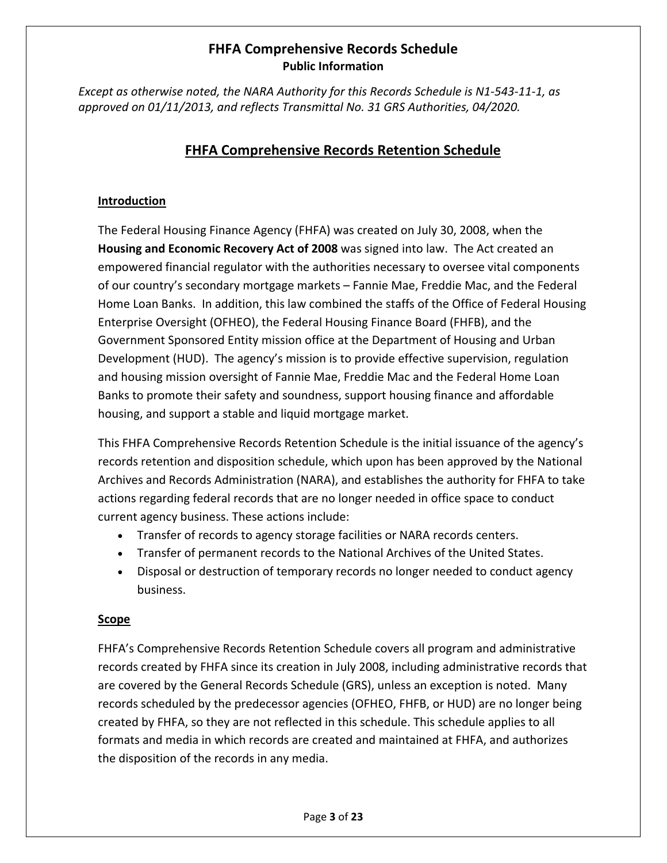*Except as otherwise noted, the NARA Authority for this Records Schedule is N1-543-11-1, as approved on 01/11/2013, and reflects Transmittal No. 31 GRS Authorities, 04/2020.* 

## **FHFA Comprehensive Records Retention Schedule**

### **Introduction**

The Federal Housing Finance Agency (FHFA) was created on July 30, 2008, when the **Housing and Economic Recovery Act of 2008** was signed into law.The Act created an empowered financial regulator with the authorities necessary to oversee vital components of our country's secondary mortgage markets – Fannie Mae, Freddie Mac, and the Federal Home Loan Banks. In addition, this law combined the staffs of the Office of Federal Housing Enterprise Oversight (OFHEO), the Federal Housing Finance Board (FHFB), and the Government Sponsored Entity mission office at the Department of Housing and Urban Development (HUD). The agency's mission is to provide effective supervision, regulation and housing mission oversight of Fannie Mae, Freddie Mac and the Federal Home Loan Banks to promote their safety and soundness, support housing finance and affordable housing, and support a stable and liquid mortgage market.

This FHFA Comprehensive Records Retention Schedule is the initial issuance of the agency's records retention and disposition schedule, which upon has been approved by the National Archives and Records Administration (NARA), and establishes the authority for FHFA to take actions regarding federal records that are no longer needed in office space to conduct current agency business. These actions include:

- Transfer of records to agency storage facilities or NARA records centers.
- Transfer of permanent records to the National Archives of the United States.
- Disposal or destruction of temporary records no longer needed to conduct agency business.

### **Scope**

FHFA's Comprehensive Records Retention Schedule covers all program and administrative records created by FHFA since its creation in July 2008, including administrative records that are covered by the General Records Schedule (GRS), unless an exception is noted. Many records scheduled by the predecessor agencies (OFHEO, FHFB, or HUD) are no longer being created by FHFA, so they are not reflected in this schedule. This schedule applies to all formats and media in which records are created and maintained at FHFA, and authorizes the disposition of the records in any media.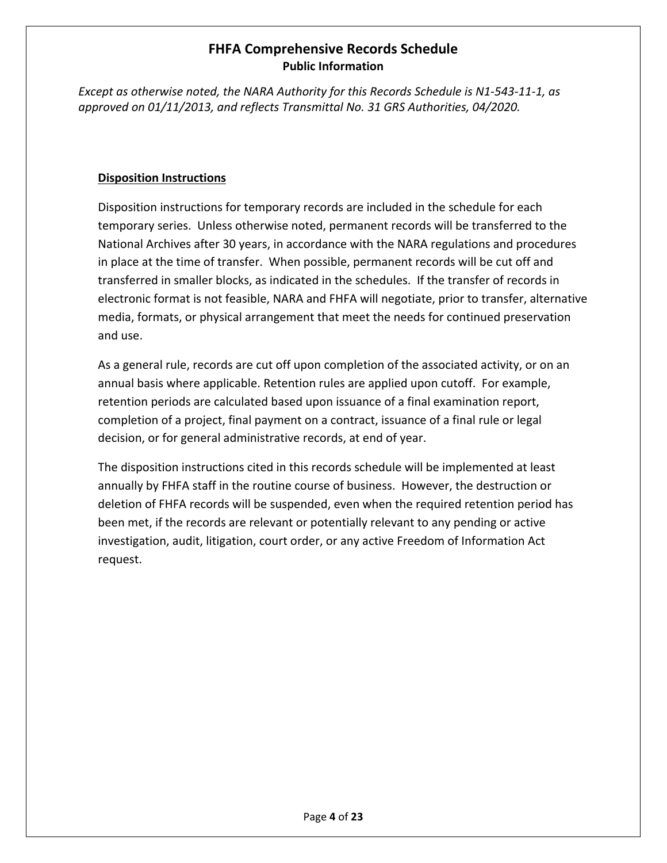*Except as otherwise noted, the NARA Authority for this Records Schedule is N1-543-11-1, as approved on 01/11/2013, and reflects Transmittal No. 31 GRS Authorities, 04/2020.* 

### **Disposition Instructions**

Disposition instructions for temporary records are included in the schedule for each temporary series. Unless otherwise noted, permanent records will be transferred to the National Archives after 30 years, in accordance with the NARA regulations and procedures in place at the time of transfer. When possible, permanent records will be cut off and transferred in smaller blocks, as indicated in the schedules. If the transfer of records in electronic format is not feasible, NARA and FHFA will negotiate, prior to transfer, alternative media, formats, or physical arrangement that meet the needs for continued preservation and use.

As a general rule, records are cut off upon completion of the associated activity, or on an annual basis where applicable. Retention rules are applied upon cutoff. For example, retention periods are calculated based upon issuance of a final examination report, completion of a project, final payment on a contract, issuance of a final rule or legal decision, or for general administrative records, at end of year.

The disposition instructions cited in this records schedule will be implemented at least annually by FHFA staff in the routine course of business. However, the destruction or deletion of FHFA records will be suspended, even when the required retention period has been met, if the records are relevant or potentially relevant to any pending or active investigation, audit, litigation, court order, or any active Freedom of Information Act request.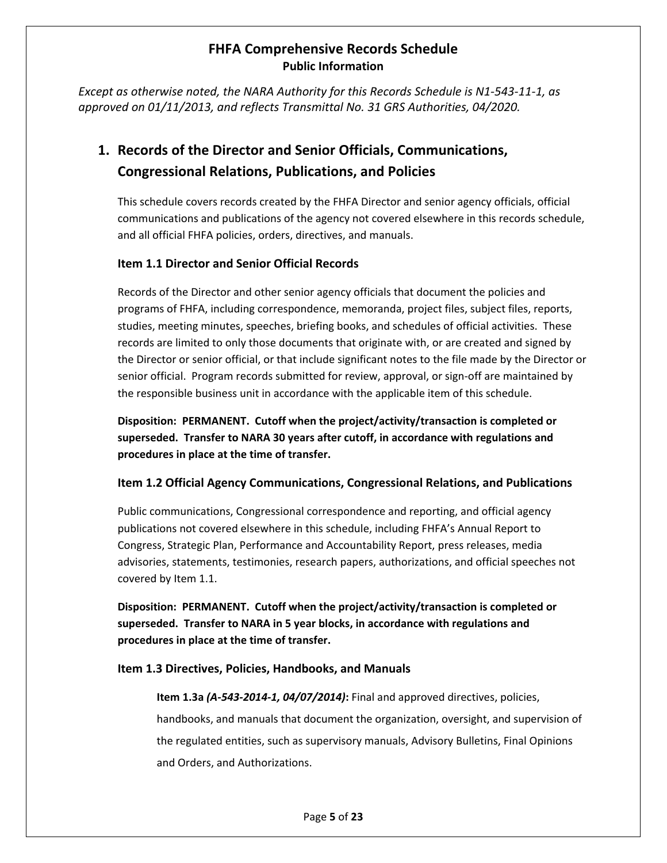*Except as otherwise noted, the NARA Authority for this Records Schedule is N1-543-11-1, as approved on 01/11/2013, and reflects Transmittal No. 31 GRS Authorities, 04/2020.* 

# **1. Records of the Director and Senior Officials, Communications, Congressional Relations, Publications, and Policies**

This schedule covers records created by the FHFA Director and senior agency officials, official communications and publications of the agency not covered elsewhere in this records schedule, and all official FHFA policies, orders, directives, and manuals.

### **Item 1.1 Director and Senior Official Records**

Records of the Director and other senior agency officials that document the policies and programs of FHFA, including correspondence, memoranda, project files, subject files, reports, studies, meeting minutes, speeches, briefing books, and schedules of official activities. These records are limited to only those documents that originate with, or are created and signed by the Director or senior official, or that include significant notes to the file made by the Director or senior official. Program records submitted for review, approval, or sign-off are maintained by the responsible business unit in accordance with the applicable item of this schedule.

**Disposition: PERMANENT. Cutoff when the project/activity/transaction is completed or superseded. Transfer to NARA 30 years after cutoff, in accordance with regulations and procedures in place at the time of transfer.**

### **Item 1.2 Official Agency Communications, Congressional Relations, and Publications**

Public communications, Congressional correspondence and reporting, and official agency publications not covered elsewhere in this schedule, including FHFA's Annual Report to Congress, Strategic Plan, Performance and Accountability Report, press releases, media advisories, statements, testimonies, research papers, authorizations, and official speeches not covered by Item 1.1.

**Disposition: PERMANENT. Cutoff when the project/activity/transaction is completed or superseded. Transfer to NARA in 5 year blocks, in accordance with regulations and procedures in place at the time of transfer.**

### **Item 1.3 Directives, Policies, Handbooks, and Manuals**

**Item 1.3a** *(A-543-2014-1, 04/07/2014)***:** Final and approved directives, policies, handbooks, and manuals that document the organization, oversight, and supervision of the regulated entities, such as supervisory manuals, Advisory Bulletins, Final Opinions and Orders, and Authorizations.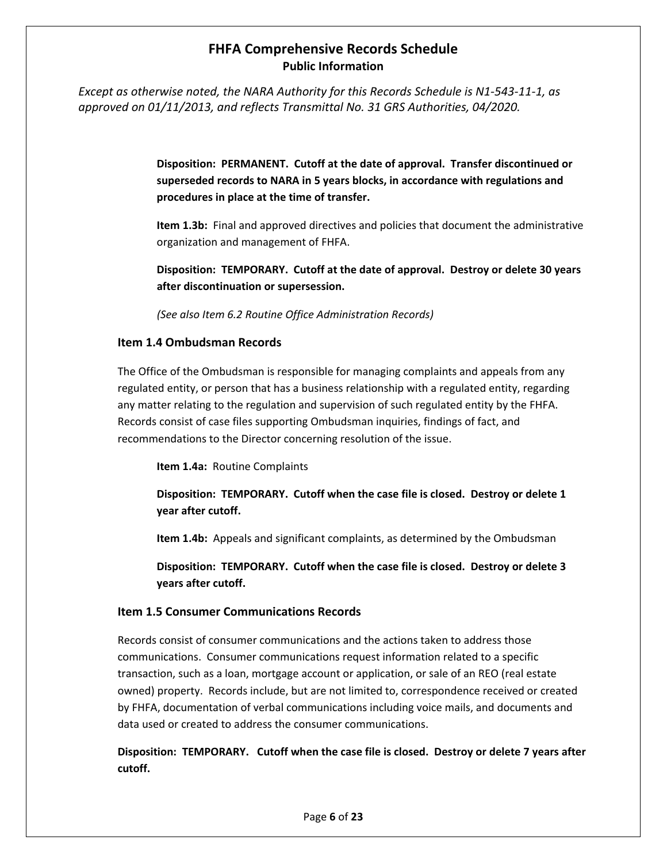*Except as otherwise noted, the NARA Authority for this Records Schedule is N1-543-11-1, as approved on 01/11/2013, and reflects Transmittal No. 31 GRS Authorities, 04/2020.* 

> **Disposition: PERMANENT. Cutoff at the date of approval. Transfer discontinued or superseded records to NARA in 5 years blocks, in accordance with regulations and procedures in place at the time of transfer.**

**Item 1.3b:** Final and approved directives and policies that document the administrative organization and management of FHFA.

**Disposition: TEMPORARY. Cutoff at the date of approval. Destroy or delete 30 years after discontinuation or supersession.** 

*(See also Item 6.2 Routine Office Administration Records)*

#### **Item 1.4 Ombudsman Records**

The Office of the Ombudsman is responsible for managing complaints and appeals from any regulated entity, or person that has a business relationship with a regulated entity, regarding any matter relating to the regulation and supervision of such regulated entity by the FHFA. Records consist of case files supporting Ombudsman inquiries, findings of fact, and recommendations to the Director concerning resolution of the issue.

**Item 1.4a:** Routine Complaints

**Disposition: TEMPORARY. Cutoff when the case file is closed. Destroy or delete 1 year after cutoff.** 

**Item 1.4b:** Appeals and significant complaints, as determined by the Ombudsman

**Disposition: TEMPORARY. Cutoff when the case file is closed. Destroy or delete 3 years after cutoff.** 

#### **Item 1.5 Consumer Communications Records**

Records consist of consumer communications and the actions taken to address those communications. Consumer communications request information related to a specific transaction, such as a loan, mortgage account or application, or sale of an REO (real estate owned) property. Records include, but are not limited to, correspondence received or created by FHFA, documentation of verbal communications including voice mails, and documents and data used or created to address the consumer communications.

**Disposition: TEMPORARY. Cutoff when the case file is closed. Destroy or delete 7 years after cutoff.**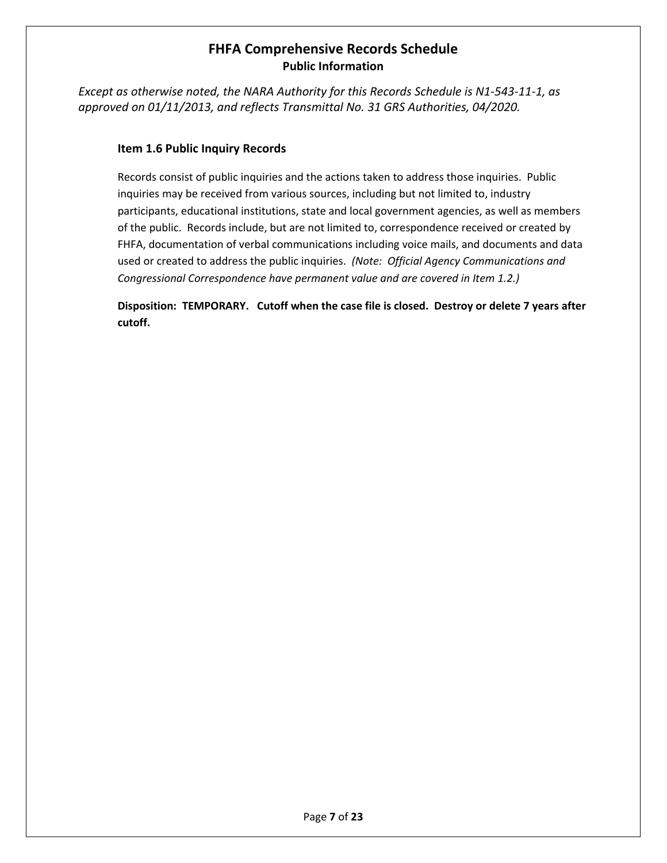*Except as otherwise noted, the NARA Authority for this Records Schedule is N1-543-11-1, as approved on 01/11/2013, and reflects Transmittal No. 31 GRS Authorities, 04/2020.* 

### **Item 1.6 Public Inquiry Records**

Records consist of public inquiries and the actions taken to address those inquiries. Public inquiries may be received from various sources, including but not limited to, industry participants, educational institutions, state and local government agencies, as well as members of the public. Records include, but are not limited to, correspondence received or created by FHFA, documentation of verbal communications including voice mails, and documents and data used or created to address the public inquiries. *(Note: Official Agency Communications and Congressional Correspondence have permanent value and are covered in Item 1.2.)*

**Disposition: TEMPORARY. Cutoff when the case file is closed. Destroy or delete 7 years after cutoff.**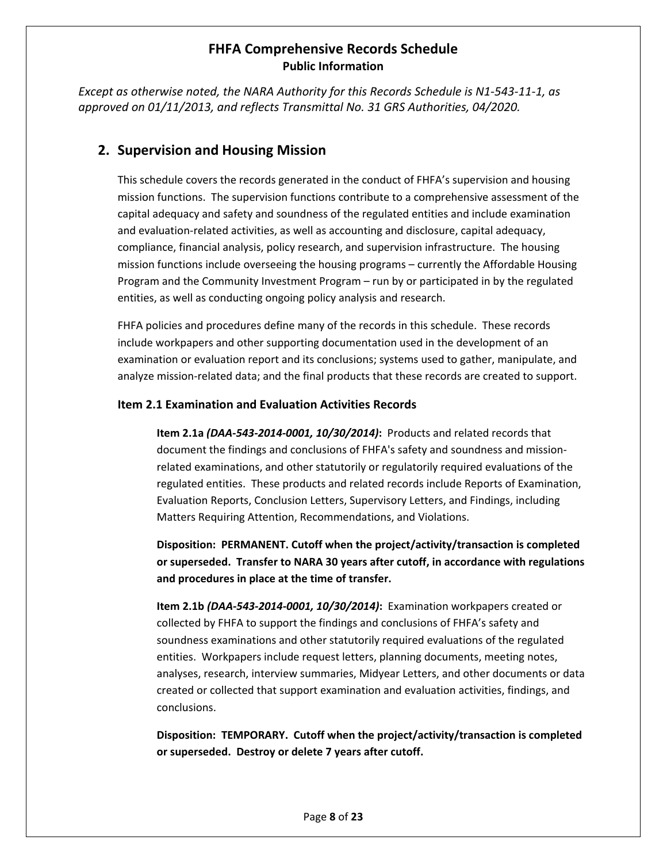*Except as otherwise noted, the NARA Authority for this Records Schedule is N1-543-11-1, as approved on 01/11/2013, and reflects Transmittal No. 31 GRS Authorities, 04/2020.* 

### **2. Supervision and Housing Mission**

This schedule covers the records generated in the conduct of FHFA's supervision and housing mission functions. The supervision functions contribute to a comprehensive assessment of the capital adequacy and safety and soundness of the regulated entities and include examination and evaluation-related activities, as well as accounting and disclosure, capital adequacy, compliance, financial analysis, policy research, and supervision infrastructure. The housing mission functions include overseeing the housing programs – currently the Affordable Housing Program and the Community Investment Program – run by or participated in by the regulated entities, as well as conducting ongoing policy analysis and research.

FHFA policies and procedures define many of the records in this schedule. These records include workpapers and other supporting documentation used in the development of an examination or evaluation report and its conclusions; systems used to gather, manipulate, and analyze mission-related data; and the final products that these records are created to support.

#### **Item 2.1 Examination and Evaluation Activities Records**

**Item 2.1a** *(DAA-543-2014-0001, 10/30/2014)***:** Products and related records that document the findings and conclusions of FHFA's safety and soundness and missionrelated examinations, and other statutorily or regulatorily required evaluations of the regulated entities. These products and related records include Reports of Examination, Evaluation Reports, Conclusion Letters, Supervisory Letters, and Findings, including Matters Requiring Attention, Recommendations, and Violations.

**Disposition: PERMANENT. Cutoff when the project/activity/transaction is completed or superseded. Transfer to NARA 30 years after cutoff, in accordance with regulations and procedures in place at the time of transfer.**

**Item 2.1b** *(DAA-543-2014-0001, 10/30/2014)***:** Examination workpapers created or collected by FHFA to support the findings and conclusions of FHFA's safety and soundness examinations and other statutorily required evaluations of the regulated entities. Workpapers include request letters, planning documents, meeting notes, analyses, research, interview summaries, Midyear Letters, and other documents or data created or collected that support examination and evaluation activities, findings, and conclusions.

**Disposition: TEMPORARY. Cutoff when the project/activity/transaction is completed or superseded. Destroy or delete 7 years after cutoff.**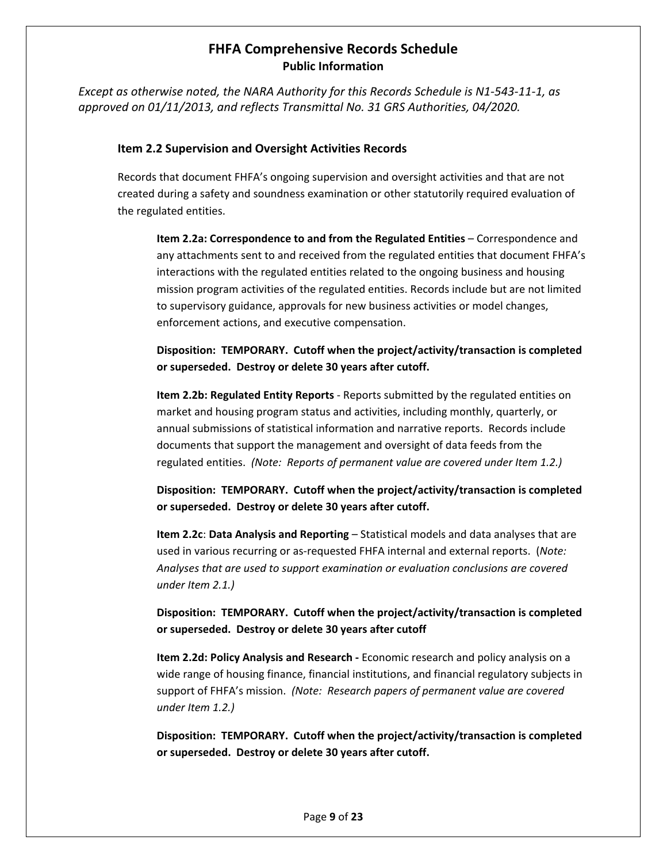*Except as otherwise noted, the NARA Authority for this Records Schedule is N1-543-11-1, as approved on 01/11/2013, and reflects Transmittal No. 31 GRS Authorities, 04/2020.* 

#### **Item 2.2 Supervision and Oversight Activities Records**

Records that document FHFA's ongoing supervision and oversight activities and that are not created during a safety and soundness examination or other statutorily required evaluation of the regulated entities.

**Item 2.2a: Correspondence to and from the Regulated Entities** – Correspondence and any attachments sent to and received from the regulated entities that document FHFA's interactions with the regulated entities related to the ongoing business and housing mission program activities of the regulated entities. Records include but are not limited to supervisory guidance, approvals for new business activities or model changes, enforcement actions, and executive compensation.

**Disposition: TEMPORARY. Cutoff when the project/activity/transaction is completed or superseded. Destroy or delete 30 years after cutoff.**

**Item 2.2b: Regulated Entity Reports** - Reports submitted by the regulated entities on market and housing program status and activities, including monthly, quarterly, or annual submissions of statistical information and narrative reports. Records include documents that support the management and oversight of data feeds from the regulated entities. *(Note: Reports of permanent value are covered under Item 1.2.)*

**Disposition: TEMPORARY. Cutoff when the project/activity/transaction is completed or superseded. Destroy or delete 30 years after cutoff.**

**Item 2.2c**: **Data Analysis and Reporting** – Statistical models and data analyses that are used in various recurring or as-requested FHFA internal and external reports. (*Note: Analyses that are used to support examination or evaluation conclusions are covered under Item 2.1.)* 

**Disposition: TEMPORARY. Cutoff when the project/activity/transaction is completed or superseded. Destroy or delete 30 years after cutoff**

**Item 2.2d: Policy Analysis and Research -** Economic research and policy analysis on a wide range of housing finance, financial institutions, and financial regulatory subjects in support of FHFA's mission. *(Note: Research papers of permanent value are covered under Item 1.2.)* 

**Disposition: TEMPORARY. Cutoff when the project/activity/transaction is completed or superseded. Destroy or delete 30 years after cutoff.**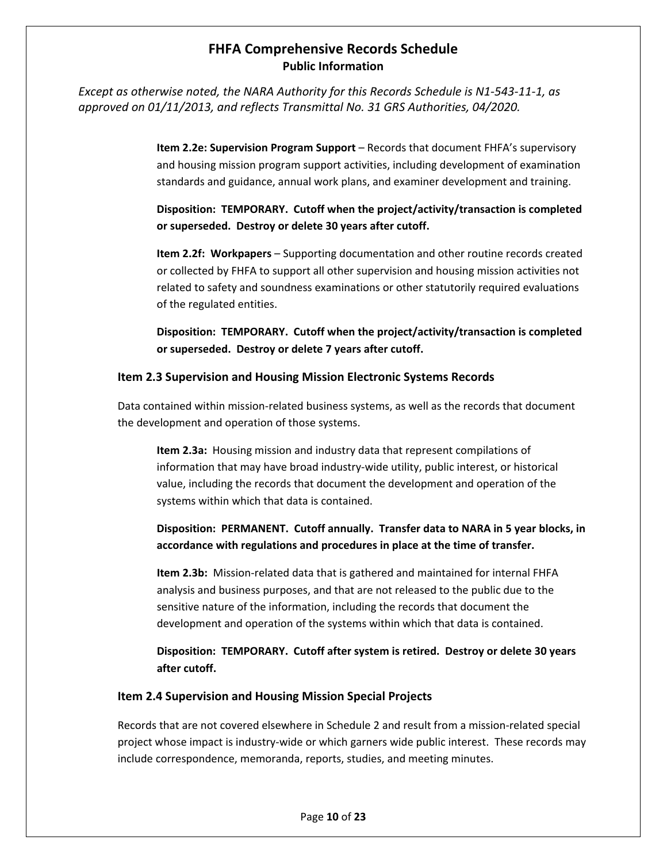*Except as otherwise noted, the NARA Authority for this Records Schedule is N1-543-11-1, as approved on 01/11/2013, and reflects Transmittal No. 31 GRS Authorities, 04/2020.* 

> **Item 2.2e: Supervision Program Support** – Records that document FHFA's supervisory and housing mission program support activities, including development of examination standards and guidance, annual work plans, and examiner development and training.

> **Disposition: TEMPORARY. Cutoff when the project/activity/transaction is completed or superseded. Destroy or delete 30 years after cutoff.**

> **Item 2.2f: Workpapers** – Supporting documentation and other routine records created or collected by FHFA to support all other supervision and housing mission activities not related to safety and soundness examinations or other statutorily required evaluations of the regulated entities.

> **Disposition: TEMPORARY. Cutoff when the project/activity/transaction is completed or superseded. Destroy or delete 7 years after cutoff.**

#### **Item 2.3 Supervision and Housing Mission Electronic Systems Records**

Data contained within mission-related business systems, as well as the records that document the development and operation of those systems.

**Item 2.3a:** Housing mission and industry data that represent compilations of information that may have broad industry-wide utility, public interest, or historical value, including the records that document the development and operation of the systems within which that data is contained.

### **Disposition: PERMANENT. Cutoff annually. Transfer data to NARA in 5 year blocks, in accordance with regulations and procedures in place at the time of transfer.**

**Item 2.3b:** Mission-related data that is gathered and maintained for internal FHFA analysis and business purposes, and that are not released to the public due to the sensitive nature of the information, including the records that document the development and operation of the systems within which that data is contained.

**Disposition: TEMPORARY. Cutoff after system is retired. Destroy or delete 30 years after cutoff.** 

#### **Item 2.4 Supervision and Housing Mission Special Projects**

Records that are not covered elsewhere in Schedule 2 and result from a mission-related special project whose impact is industry-wide or which garners wide public interest. These records may include correspondence, memoranda, reports, studies, and meeting minutes.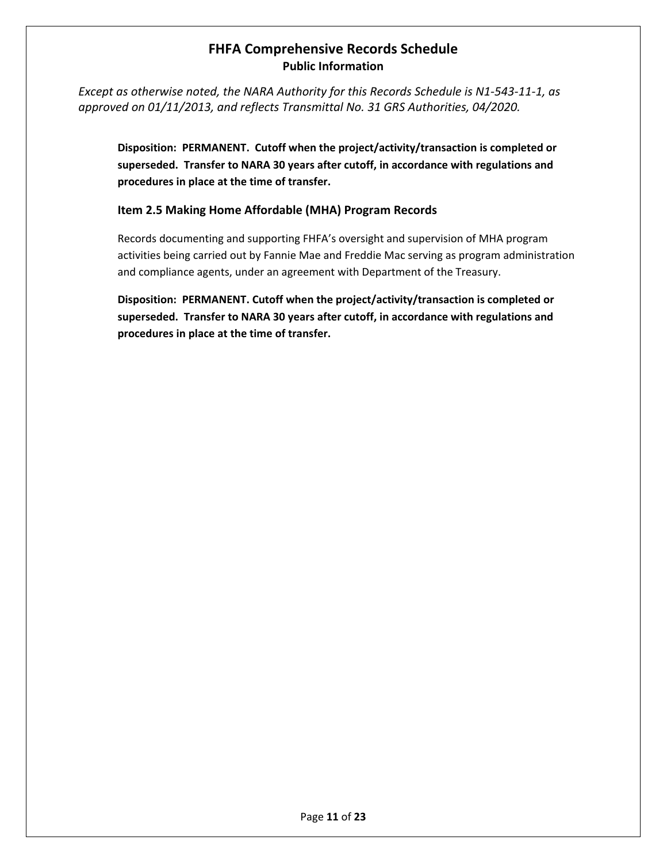*Except as otherwise noted, the NARA Authority for this Records Schedule is N1-543-11-1, as approved on 01/11/2013, and reflects Transmittal No. 31 GRS Authorities, 04/2020.* 

**Disposition: PERMANENT. Cutoff when the project/activity/transaction is completed or superseded. Transfer to NARA 30 years after cutoff, in accordance with regulations and procedures in place at the time of transfer.**

### **Item 2.5 Making Home Affordable (MHA) Program Records**

Records documenting and supporting FHFA's oversight and supervision of MHA program activities being carried out by Fannie Mae and Freddie Mac serving as program administration and compliance agents, under an agreement with Department of the Treasury.

**Disposition: PERMANENT. Cutoff when the project/activity/transaction is completed or superseded. Transfer to NARA 30 years after cutoff, in accordance with regulations and procedures in place at the time of transfer.**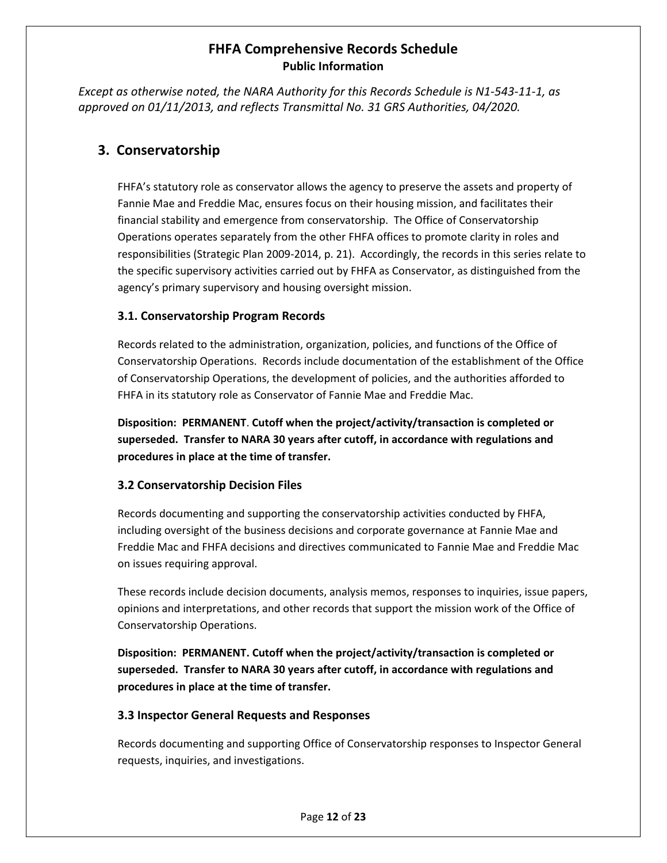*Except as otherwise noted, the NARA Authority for this Records Schedule is N1-543-11-1, as approved on 01/11/2013, and reflects Transmittal No. 31 GRS Authorities, 04/2020.* 

## **3. Conservatorship**

FHFA's statutory role as conservator allows the agency to preserve the assets and property of Fannie Mae and Freddie Mac, ensures focus on their housing mission, and facilitates their financial stability and emergence from conservatorship. The Office of Conservatorship Operations operates separately from the other FHFA offices to promote clarity in roles and responsibilities (Strategic Plan 2009-2014, p. 21). Accordingly, the records in this series relate to the specific supervisory activities carried out by FHFA as Conservator, as distinguished from the agency's primary supervisory and housing oversight mission.

### **3.1. Conservatorship Program Records**

Records related to the administration, organization, policies, and functions of the Office of Conservatorship Operations. Records include documentation of the establishment of the Office of Conservatorship Operations, the development of policies, and the authorities afforded to FHFA in its statutory role as Conservator of Fannie Mae and Freddie Mac.

**Disposition: PERMANENT**. **Cutoff when the project/activity/transaction is completed or superseded. Transfer to NARA 30 years after cutoff, in accordance with regulations and procedures in place at the time of transfer.**

### **3.2 Conservatorship Decision Files**

Records documenting and supporting the conservatorship activities conducted by FHFA, including oversight of the business decisions and corporate governance at Fannie Mae and Freddie Mac and FHFA decisions and directives communicated to Fannie Mae and Freddie Mac on issues requiring approval.

These records include decision documents, analysis memos, responses to inquiries, issue papers, opinions and interpretations, and other records that support the mission work of the Office of Conservatorship Operations.

**Disposition: PERMANENT. Cutoff when the project/activity/transaction is completed or superseded. Transfer to NARA 30 years after cutoff, in accordance with regulations and procedures in place at the time of transfer.**

### **3.3 Inspector General Requests and Responses**

Records documenting and supporting Office of Conservatorship responses to Inspector General requests, inquiries, and investigations.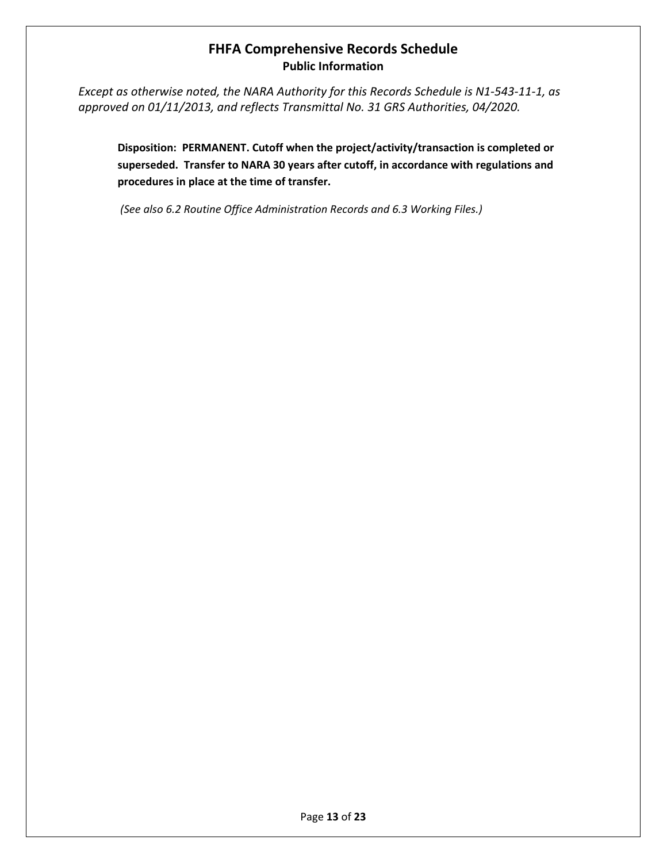*Except as otherwise noted, the NARA Authority for this Records Schedule is N1-543-11-1, as approved on 01/11/2013, and reflects Transmittal No. 31 GRS Authorities, 04/2020.* 

**Disposition: PERMANENT. Cutoff when the project/activity/transaction is completed or superseded. Transfer to NARA 30 years after cutoff, in accordance with regulations and procedures in place at the time of transfer.**

*(See also 6.2 Routine Office Administration Records and 6.3 Working Files.)*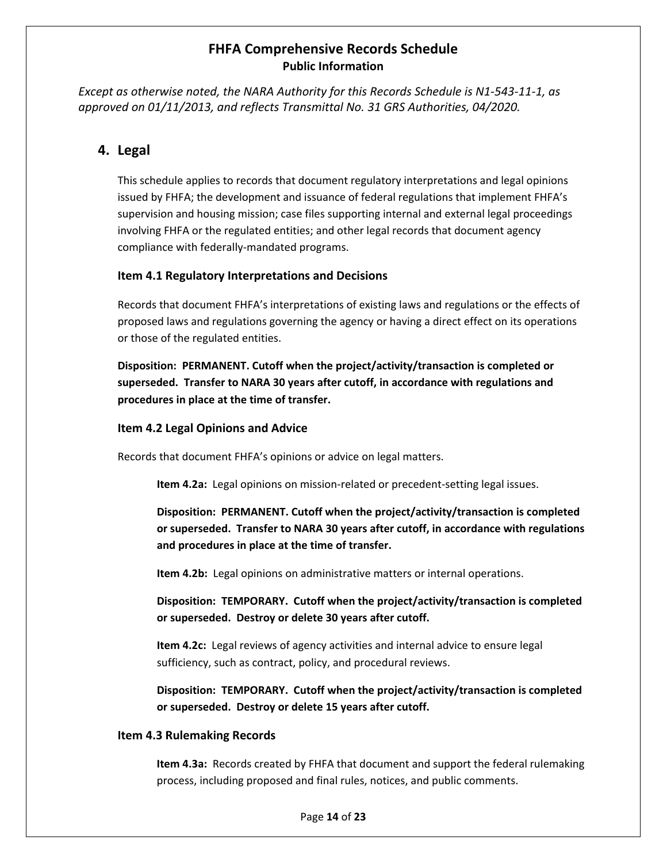*Except as otherwise noted, the NARA Authority for this Records Schedule is N1-543-11-1, as approved on 01/11/2013, and reflects Transmittal No. 31 GRS Authorities, 04/2020.* 

## **4. Legal**

This schedule applies to records that document regulatory interpretations and legal opinions issued by FHFA; the development and issuance of federal regulations that implement FHFA's supervision and housing mission; case files supporting internal and external legal proceedings involving FHFA or the regulated entities; and other legal records that document agency compliance with federally-mandated programs.

#### **Item 4.1 Regulatory Interpretations and Decisions**

Records that document FHFA's interpretations of existing laws and regulations or the effects of proposed laws and regulations governing the agency or having a direct effect on its operations or those of the regulated entities.

**Disposition: PERMANENT. Cutoff when the project/activity/transaction is completed or superseded. Transfer to NARA 30 years after cutoff, in accordance with regulations and procedures in place at the time of transfer.** 

#### **Item 4.2 Legal Opinions and Advice**

Records that document FHFA's opinions or advice on legal matters.

**Item 4.2a:** Legal opinions on mission-related or precedent-setting legal issues.

**Disposition: PERMANENT. Cutoff when the project/activity/transaction is completed or superseded. Transfer to NARA 30 years after cutoff, in accordance with regulations and procedures in place at the time of transfer.** 

**Item 4.2b:** Legal opinions on administrative matters or internal operations.

**Disposition: TEMPORARY. Cutoff when the project/activity/transaction is completed or superseded. Destroy or delete 30 years after cutoff.**

**Item 4.2c:** Legal reviews of agency activities and internal advice to ensure legal sufficiency, such as contract, policy, and procedural reviews.

**Disposition: TEMPORARY. Cutoff when the project/activity/transaction is completed or superseded. Destroy or delete 15 years after cutoff.**

#### **Item 4.3 Rulemaking Records**

**Item 4.3a:** Records created by FHFA that document and support the federal rulemaking process, including proposed and final rules, notices, and public comments.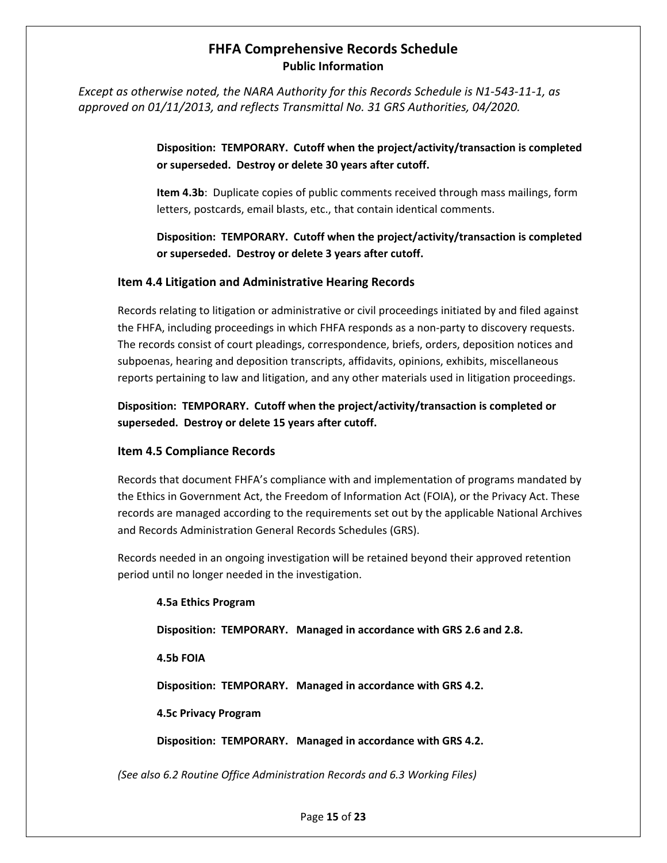*Except as otherwise noted, the NARA Authority for this Records Schedule is N1-543-11-1, as approved on 01/11/2013, and reflects Transmittal No. 31 GRS Authorities, 04/2020.* 

> **Disposition: TEMPORARY. Cutoff when the project/activity/transaction is completed or superseded. Destroy or delete 30 years after cutoff.**

> **Item 4.3b**: Duplicate copies of public comments received through mass mailings, form letters, postcards, email blasts, etc., that contain identical comments.

> **Disposition: TEMPORARY. Cutoff when the project/activity/transaction is completed or superseded. Destroy or delete 3 years after cutoff.**

#### **Item 4.4 Litigation and Administrative Hearing Records**

Records relating to litigation or administrative or civil proceedings initiated by and filed against the FHFA, including proceedings in which FHFA responds as a non-party to discovery requests. The records consist of court pleadings, correspondence, briefs, orders, deposition notices and subpoenas, hearing and deposition transcripts, affidavits, opinions, exhibits, miscellaneous reports pertaining to law and litigation, and any other materials used in litigation proceedings.

**Disposition: TEMPORARY. Cutoff when the project/activity/transaction is completed or superseded. Destroy or delete 15 years after cutoff.**

#### **Item 4.5 Compliance Records**

Records that document FHFA's compliance with and implementation of programs mandated by the Ethics in Government Act, the Freedom of Information Act (FOIA), or the Privacy Act. These records are managed according to the requirements set out by the applicable National Archives and Records Administration General Records Schedules (GRS).

Records needed in an ongoing investigation will be retained beyond their approved retention period until no longer needed in the investigation.

#### **4.5a Ethics Program**

**Disposition: TEMPORARY. Managed in accordance with GRS 2.6 and 2.8.** 

**4.5b FOIA** 

**Disposition: TEMPORARY. Managed in accordance with GRS 4.2.** 

**4.5c Privacy Program**

**Disposition: TEMPORARY. Managed in accordance with GRS 4.2.** 

*(See also 6.2 Routine Office Administration Records and 6.3 Working Files)*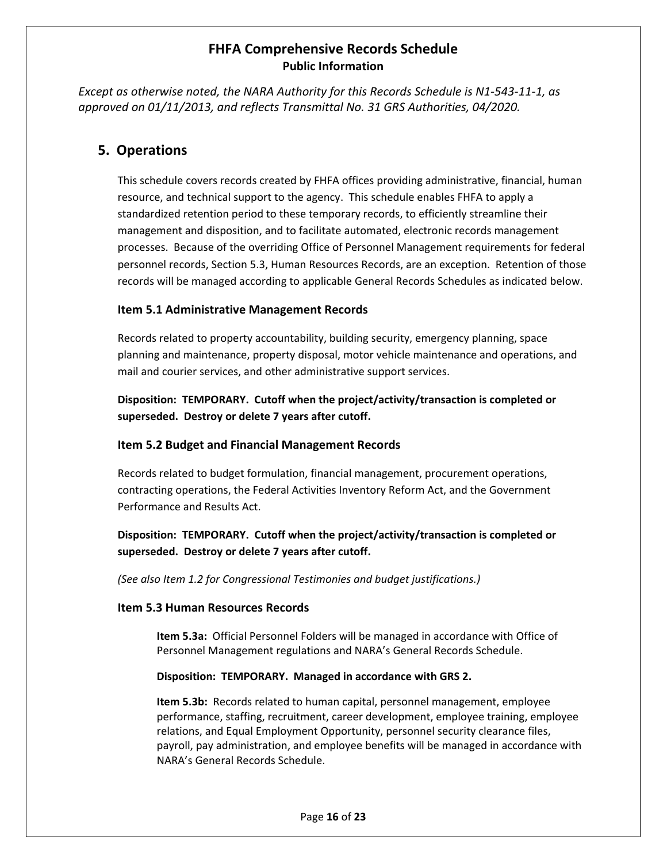*Except as otherwise noted, the NARA Authority for this Records Schedule is N1-543-11-1, as approved on 01/11/2013, and reflects Transmittal No. 31 GRS Authorities, 04/2020.* 

### **5. Operations**

This schedule covers records created by FHFA offices providing administrative, financial, human resource, and technical support to the agency. This schedule enables FHFA to apply a standardized retention period to these temporary records, to efficiently streamline their management and disposition, and to facilitate automated, electronic records management processes. Because of the overriding Office of Personnel Management requirements for federal personnel records, Section 5.3, Human Resources Records, are an exception. Retention of those records will be managed according to applicable General Records Schedules as indicated below.

#### **Item 5.1 Administrative Management Records**

Records related to property accountability, building security, emergency planning, space planning and maintenance, property disposal, motor vehicle maintenance and operations, and mail and courier services, and other administrative support services.

**Disposition: TEMPORARY. Cutoff when the project/activity/transaction is completed or superseded. Destroy or delete 7 years after cutoff.**

#### **Item 5.2 Budget and Financial Management Records**

Records related to budget formulation, financial management, procurement operations, contracting operations, the Federal Activities Inventory Reform Act, and the Government Performance and Results Act.

**Disposition: TEMPORARY. Cutoff when the project/activity/transaction is completed or superseded. Destroy or delete 7 years after cutoff.** 

*(See also Item 1.2 for Congressional Testimonies and budget justifications.)*

#### **Item 5.3 Human Resources Records**

**Item 5.3a:** Official Personnel Folders will be managed in accordance with Office of Personnel Management regulations and NARA's General Records Schedule.

#### **Disposition: TEMPORARY. Managed in accordance with GRS 2.**

**Item 5.3b:** Records related to human capital, personnel management, employee performance, staffing, recruitment, career development, employee training, employee relations, and Equal Employment Opportunity, personnel security clearance files, payroll, pay administration, and employee benefits will be managed in accordance with NARA's General Records Schedule.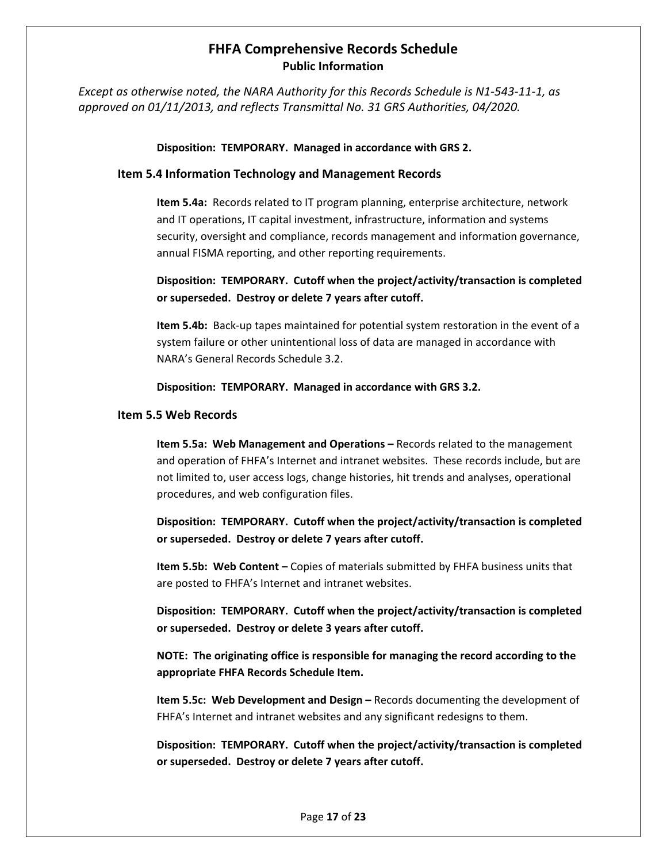*Except as otherwise noted, the NARA Authority for this Records Schedule is N1-543-11-1, as approved on 01/11/2013, and reflects Transmittal No. 31 GRS Authorities, 04/2020.* 

#### **Disposition: TEMPORARY. Managed in accordance with GRS 2.**

#### **Item 5.4 Information Technology and Management Records**

**Item 5.4a:** Records related to IT program planning, enterprise architecture, network and IT operations, IT capital investment, infrastructure, information and systems security, oversight and compliance, records management and information governance, annual FISMA reporting, and other reporting requirements.

**Disposition: TEMPORARY. Cutoff when the project/activity/transaction is completed or superseded. Destroy or delete 7 years after cutoff.**

**Item 5.4b:** Back-up tapes maintained for potential system restoration in the event of a system failure or other unintentional loss of data are managed in accordance with NARA's General Records Schedule 3.2.

#### **Disposition: TEMPORARY. Managed in accordance with GRS 3.2.**

#### **Item 5.5 Web Records**

**Item 5.5a: Web Management and Operations –** Records related to the management and operation of FHFA's Internet and intranet websites. These records include, but are not limited to, user access logs, change histories, hit trends and analyses, operational procedures, and web configuration files.

**Disposition: TEMPORARY. Cutoff when the project/activity/transaction is completed or superseded. Destroy or delete 7 years after cutoff.** 

**Item 5.5b: Web Content –** Copies of materials submitted by FHFA business units that are posted to FHFA's Internet and intranet websites.

**Disposition: TEMPORARY. Cutoff when the project/activity/transaction is completed or superseded. Destroy or delete 3 years after cutoff.** 

**NOTE: The originating office is responsible for managing the record according to the appropriate FHFA Records Schedule Item.**

**Item 5.5c: Web Development and Design –** Records documenting the development of FHFA's Internet and intranet websites and any significant redesigns to them.

**Disposition: TEMPORARY. Cutoff when the project/activity/transaction is completed or superseded. Destroy or delete 7 years after cutoff.**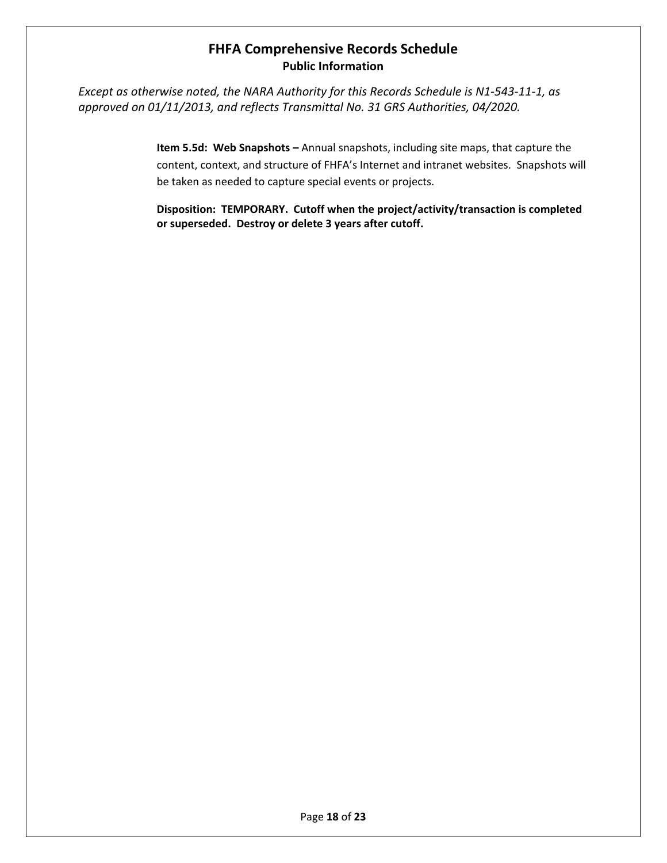*Except as otherwise noted, the NARA Authority for this Records Schedule is N1-543-11-1, as approved on 01/11/2013, and reflects Transmittal No. 31 GRS Authorities, 04/2020.* 

> **Item 5.5d: Web Snapshots –** Annual snapshots, including site maps, that capture the content, context, and structure of FHFA's Internet and intranet websites. Snapshots will be taken as needed to capture special events or projects.

> **Disposition: TEMPORARY. Cutoff when the project/activity/transaction is completed or superseded. Destroy or delete 3 years after cutoff.**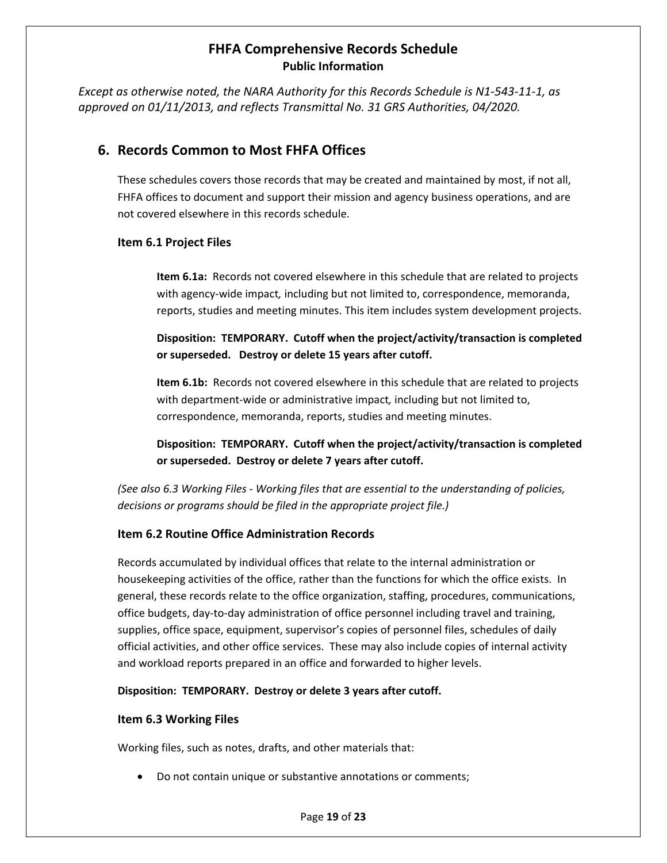*Except as otherwise noted, the NARA Authority for this Records Schedule is N1-543-11-1, as approved on 01/11/2013, and reflects Transmittal No. 31 GRS Authorities, 04/2020.* 

## **6. Records Common to Most FHFA Offices**

These schedules covers those records that may be created and maintained by most, if not all, FHFA offices to document and support their mission and agency business operations, and are not covered elsewhere in this records schedule.

#### **Item 6.1 Project Files**

**Item 6.1a:** Records not covered elsewhere in this schedule that are related to projects with agency-wide impact*,* including but not limited to, correspondence, memoranda, reports, studies and meeting minutes. This item includes system development projects.

**Disposition: TEMPORARY. Cutoff when the project/activity/transaction is completed or superseded. Destroy or delete 15 years after cutoff.**

**Item 6.1b:** Records not covered elsewhere in this schedule that are related to projects with department-wide or administrative impact*,* including but not limited to, correspondence, memoranda, reports, studies and meeting minutes.

**Disposition: TEMPORARY. Cutoff when the project/activity/transaction is completed or superseded. Destroy or delete 7 years after cutoff.**

*(See also 6.3 Working Files - Working files that are essential to the understanding of policies, decisions or programs should be filed in the appropriate project file.)*

### **Item 6.2 Routine Office Administration Records**

Records accumulated by individual offices that relate to the internal administration or housekeeping activities of the office, rather than the functions for which the office exists. In general, these records relate to the office organization, staffing, procedures, communications, office budgets, day-to-day administration of office personnel including travel and training, supplies, office space, equipment, supervisor's copies of personnel files, schedules of daily official activities, and other office services. These may also include copies of internal activity and workload reports prepared in an office and forwarded to higher levels.

#### **Disposition: TEMPORARY. Destroy or delete 3 years after cutoff.**

#### **Item 6.3 Working Files**

Working files, such as notes, drafts, and other materials that:

• Do not contain unique or substantive annotations or comments;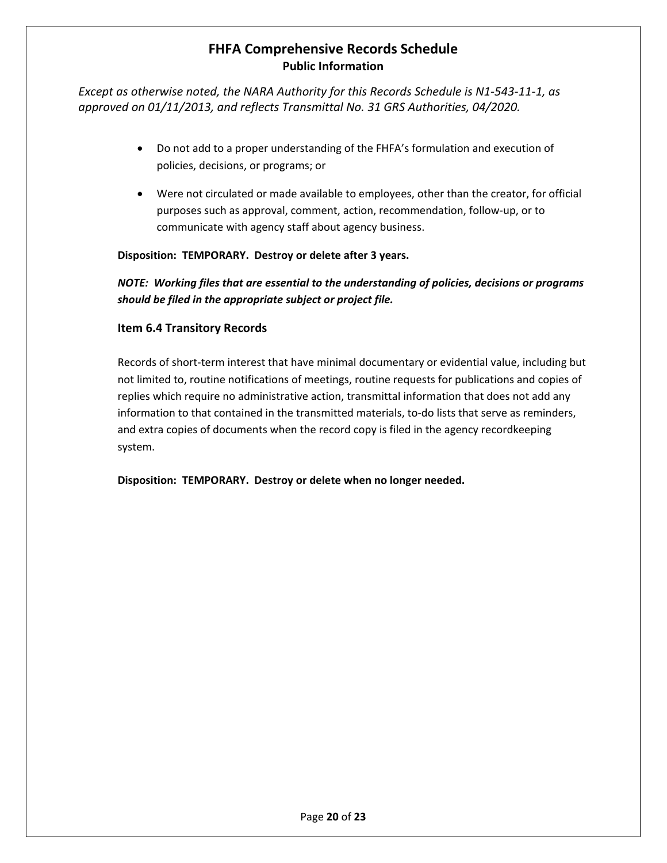*Except as otherwise noted, the NARA Authority for this Records Schedule is N1-543-11-1, as approved on 01/11/2013, and reflects Transmittal No. 31 GRS Authorities, 04/2020.* 

- Do not add to a proper understanding of the FHFA's formulation and execution of policies, decisions, or programs; or
- Were not circulated or made available to employees, other than the creator, for official purposes such as approval, comment, action, recommendation, follow-up, or to communicate with agency staff about agency business.

### **Disposition: TEMPORARY. Destroy or delete after 3 years.**

*NOTE: Working files that are essential to the understanding of policies, decisions or programs should be filed in the appropriate subject or project file.* 

#### **Item 6.4 Transitory Records**

Records of short-term interest that have minimal documentary or evidential value, including but not limited to, routine notifications of meetings, routine requests for publications and copies of replies which require no administrative action, transmittal information that does not add any information to that contained in the transmitted materials, to-do lists that serve as reminders, and extra copies of documents when the record copy is filed in the agency recordkeeping system.

**Disposition: TEMPORARY. Destroy or delete when no longer needed.**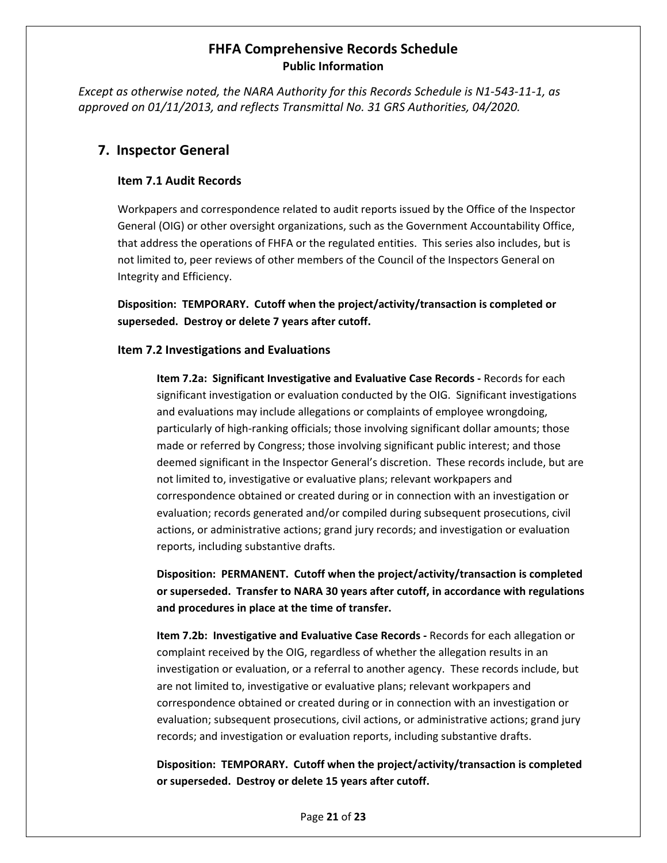*Except as otherwise noted, the NARA Authority for this Records Schedule is N1-543-11-1, as approved on 01/11/2013, and reflects Transmittal No. 31 GRS Authorities, 04/2020.* 

### **7. Inspector General**

#### **Item 7.1 Audit Records**

Workpapers and correspondence related to audit reports issued by the Office of the Inspector General (OIG) or other oversight organizations, such as the Government Accountability Office, that address the operations of FHFA or the regulated entities. This series also includes, but is not limited to, peer reviews of other members of the Council of the Inspectors General on Integrity and Efficiency.

**Disposition: TEMPORARY. Cutoff when the project/activity/transaction is completed or superseded. Destroy or delete 7 years after cutoff.**

#### **Item 7.2 Investigations and Evaluations**

**Item 7.2a: Significant Investigative and Evaluative Case Records -** Records for each significant investigation or evaluation conducted by the OIG. Significant investigations and evaluations may include allegations or complaints of employee wrongdoing, particularly of high-ranking officials; those involving significant dollar amounts; those made or referred by Congress; those involving significant public interest; and those deemed significant in the Inspector General's discretion. These records include, but are not limited to, investigative or evaluative plans; relevant workpapers and correspondence obtained or created during or in connection with an investigation or evaluation; records generated and/or compiled during subsequent prosecutions, civil actions, or administrative actions; grand jury records; and investigation or evaluation reports, including substantive drafts.

**Disposition: PERMANENT. Cutoff when the project/activity/transaction is completed or superseded. Transfer to NARA 30 years after cutoff, in accordance with regulations and procedures in place at the time of transfer.**

**Item 7.2b: Investigative and Evaluative Case Records -** Records for each allegation or complaint received by the OIG, regardless of whether the allegation results in an investigation or evaluation, or a referral to another agency. These records include, but are not limited to, investigative or evaluative plans; relevant workpapers and correspondence obtained or created during or in connection with an investigation or evaluation; subsequent prosecutions, civil actions, or administrative actions; grand jury records; and investigation or evaluation reports, including substantive drafts.

**Disposition: TEMPORARY. Cutoff when the project/activity/transaction is completed or superseded. Destroy or delete 15 years after cutoff.**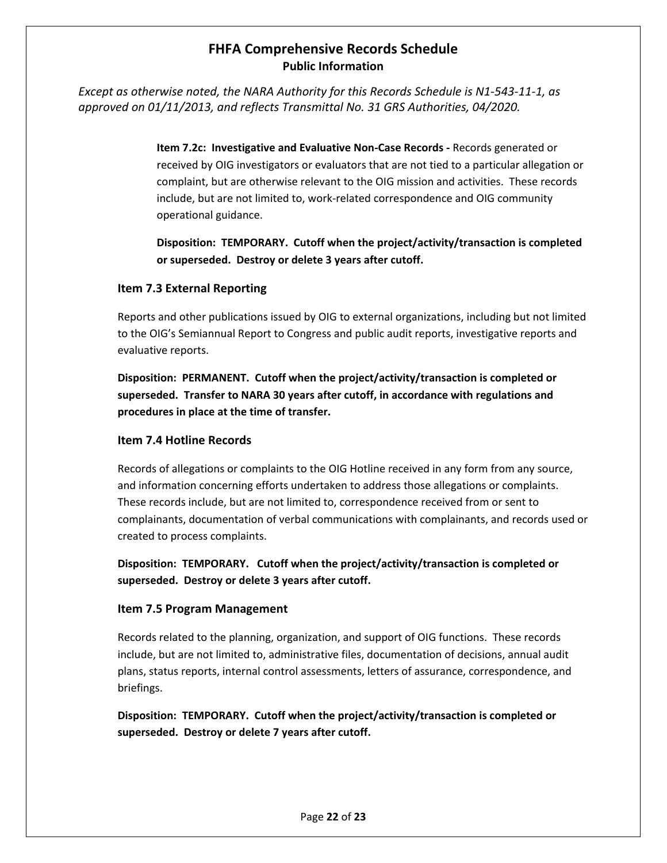*Except as otherwise noted, the NARA Authority for this Records Schedule is N1-543-11-1, as approved on 01/11/2013, and reflects Transmittal No. 31 GRS Authorities, 04/2020.* 

> **Item 7.2c: Investigative and Evaluative Non-Case Records -** Records generated or received by OIG investigators or evaluators that are not tied to a particular allegation or complaint, but are otherwise relevant to the OIG mission and activities. These records include, but are not limited to, work-related correspondence and OIG community operational guidance.

> **Disposition: TEMPORARY. Cutoff when the project/activity/transaction is completed or superseded. Destroy or delete 3 years after cutoff.**

#### **Item 7.3 External Reporting**

Reports and other publications issued by OIG to external organizations, including but not limited to the OIG's Semiannual Report to Congress and public audit reports, investigative reports and evaluative reports.

**Disposition: PERMANENT. Cutoff when the project/activity/transaction is completed or superseded. Transfer to NARA 30 years after cutoff, in accordance with regulations and procedures in place at the time of transfer.**

### **Item 7.4 Hotline Records**

Records of allegations or complaints to the OIG Hotline received in any form from any source, and information concerning efforts undertaken to address those allegations or complaints. These records include, but are not limited to, correspondence received from or sent to complainants, documentation of verbal communications with complainants, and records used or created to process complaints.

**Disposition: TEMPORARY. Cutoff when the project/activity/transaction is completed or superseded. Destroy or delete 3 years after cutoff.**

#### **Item 7.5 Program Management**

Records related to the planning, organization, and support of OIG functions. These records include, but are not limited to, administrative files, documentation of decisions, annual audit plans, status reports, internal control assessments, letters of assurance, correspondence, and briefings.

**Disposition: TEMPORARY. Cutoff when the project/activity/transaction is completed or superseded. Destroy or delete 7 years after cutoff.**